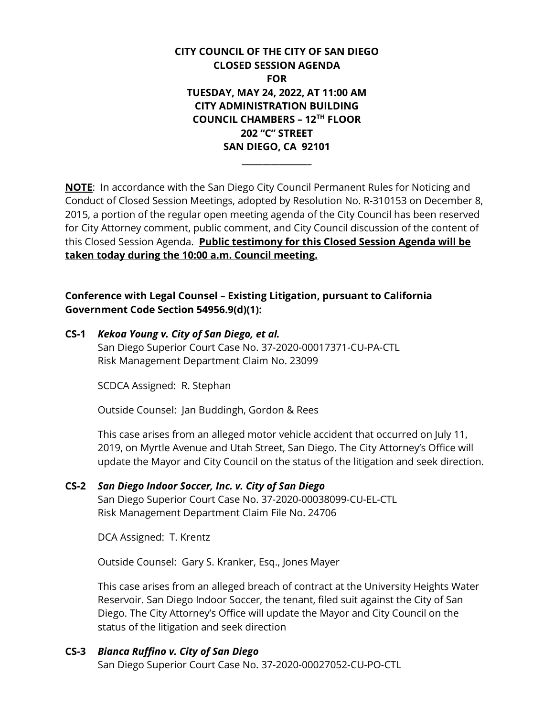**CITY COUNCIL OF THE CITY OF SAN DIEGO CLOSED SESSION AGENDA FOR TUESDAY, MAY 24, 2022, AT 11:00 AM CITY ADMINISTRATION BUILDING COUNCIL CHAMBERS – 12TH FLOOR 202 "C" STREET SAN DIEGO, CA 92101**

**NOTE**: In accordance with the San Diego City Council Permanent Rules for Noticing and Conduct of Closed Session Meetings, adopted by Resolution No. R-310153 on December 8, 2015, a portion of the regular open meeting agenda of the City Council has been reserved for City Attorney comment, public comment, and City Council discussion of the content of this Closed Session Agenda. **Public testimony for this Closed Session Agenda will be taken today during the 10:00 a.m. Council meeting.**

**\_\_\_\_\_\_\_\_\_\_\_\_\_\_\_\_\_**

**Conference with Legal Counsel – Existing Litigation, pursuant to California Government Code Section 54956.9(d)(1):**

**CS-1** *Kekoa Young v. City of San Diego, et al.* San Diego Superior Court Case No. 37-2020-00017371-CU-PA-CTL Risk Management Department Claim No. 23099

SCDCA Assigned: R. Stephan

Outside Counsel: Jan Buddingh, Gordon & Rees

This case arises from an alleged motor vehicle accident that occurred on July 11, 2019, on Myrtle Avenue and Utah Street, San Diego. The City Attorney's Office will update the Mayor and City Council on the status of the litigation and seek direction.

**CS-2** *San Diego Indoor Soccer, Inc. v. City of San Diego* San Diego Superior Court Case No. 37-2020-00038099-CU-EL-CTL Risk Management Department Claim File No. 24706

DCA Assigned: T. Krentz

Outside Counsel: Gary S. Kranker, Esq., Jones Mayer

This case arises from an alleged breach of contract at the University Heights Water Reservoir. San Diego Indoor Soccer, the tenant, filed suit against the City of San Diego. The City Attorney's Office will update the Mayor and City Council on the status of the litigation and seek direction

## **CS-3** *Bianca Ruffino v. City of San Diego*

San Diego Superior Court Case No. 37-2020-00027052-CU-PO-CTL